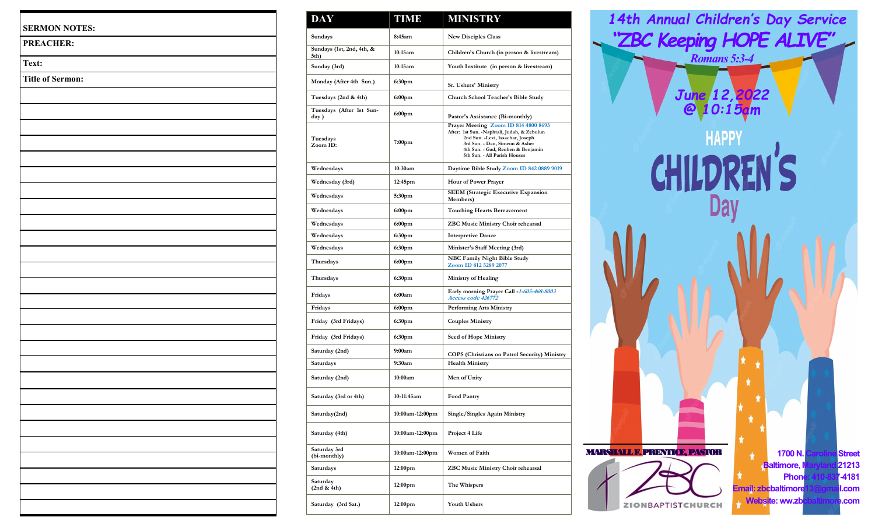| <b>PREACHER:</b>        |  |  |  |
|-------------------------|--|--|--|
| Text:                   |  |  |  |
| <b>Title of Sermon:</b> |  |  |  |
|                         |  |  |  |
|                         |  |  |  |
|                         |  |  |  |
|                         |  |  |  |
|                         |  |  |  |
|                         |  |  |  |
|                         |  |  |  |
|                         |  |  |  |
|                         |  |  |  |
|                         |  |  |  |
|                         |  |  |  |
|                         |  |  |  |
|                         |  |  |  |
|                         |  |  |  |
|                         |  |  |  |
|                         |  |  |  |
|                         |  |  |  |
|                         |  |  |  |
|                         |  |  |  |
|                         |  |  |  |
|                         |  |  |  |
|                         |  |  |  |
|                         |  |  |  |
|                         |  |  |  |
|                         |  |  |  |
|                         |  |  |  |

| <b>DAY</b>                        | <b>TIME</b>         | <b>MINISTRY</b>                                                                                                                                                                                                                  |  |  |
|-----------------------------------|---------------------|----------------------------------------------------------------------------------------------------------------------------------------------------------------------------------------------------------------------------------|--|--|
| Sundays                           | 8:45am              | <b>New Disciples Class</b>                                                                                                                                                                                                       |  |  |
| Sundays (1st, 2nd, 4th, &<br>5th) | 10:15am             | Children's Church (in person & livestream)                                                                                                                                                                                       |  |  |
| Sunday (3rd)                      | 10:15am             | Youth Institute (in person & livestream)                                                                                                                                                                                         |  |  |
| Monday (After 4th Sun.)           | 6:30pm              | <b>Sr. Ushers' Ministry</b>                                                                                                                                                                                                      |  |  |
| Tuesdays (2nd & 4th)              | 6:00 <sub>pm</sub>  | Church School Teacher's Bible Study                                                                                                                                                                                              |  |  |
| Tuesdays (After 1st Sun-<br>day)  | 6:00 <sub>pm</sub>  | Pastor's Assistance (Bi-monthly)                                                                                                                                                                                                 |  |  |
| Tuesdays<br>Zoom ID:              | 7:00 <sub>pm</sub>  | Prayer Meeting Zoom ID 814 4800 8693<br>After: 1st Sun. - Naphtali, Judah, & Zebulun<br>2nd Sun. - Levi, Issachar, Joseph<br>3rd Sun. - Dan, Simeon & Asher<br>4th Sun. - Gad, Reuben & Benjamin<br>5th Sun. - All Parish Houses |  |  |
| Wednesdays                        | 10:30am             | Daytime Bible Study Zoom ID 842 0889 9019                                                                                                                                                                                        |  |  |
| Wednesday (3rd)                   | 12:45pm             | Hour of Power Prayer                                                                                                                                                                                                             |  |  |
| Wednesdays                        | 5:30pm              | <b>SEEM</b> (Strategic Executive Expansion<br>Members)                                                                                                                                                                           |  |  |
| Wednesdays                        | 6:00 <sub>pm</sub>  | <b>Touching Hearts Bereavement</b>                                                                                                                                                                                               |  |  |
| Wednesdays                        | 6:00 <sub>pm</sub>  | <b>ZBC Music Ministry Choir rehearsal</b>                                                                                                                                                                                        |  |  |
| Wednesdays                        | 6:30pm              | <b>Interpretive Dance</b>                                                                                                                                                                                                        |  |  |
| Wednesdays                        | 6:30pm              | Minister's Staff Meeting (3rd)                                                                                                                                                                                                   |  |  |
| Thursdays                         | 6:00 <sub>pm</sub>  | <b>NBC Family Night Bible Study</b><br>Zoom ID 812 5289 2077                                                                                                                                                                     |  |  |
| Thursdays                         | 6:30pm              | <b>Ministry of Healing</b>                                                                                                                                                                                                       |  |  |
| Fridays                           | 6:00am              | Early morning Prayer Call -1-605-468-8003<br>Access code 426772                                                                                                                                                                  |  |  |
| Fridays                           | 6:00 <sub>pm</sub>  | <b>Performing Arts Ministry</b>                                                                                                                                                                                                  |  |  |
| Friday (3rd Fridays)              | 6:30pm              | <b>Couples Ministry</b>                                                                                                                                                                                                          |  |  |
| Friday (3rd Fridays)              | 6:30pm              | <b>Seed of Hope Ministry</b>                                                                                                                                                                                                     |  |  |
| Saturday (2nd)                    | 9:00am              | <b>COPS</b> (Christians on Patrol Security) Ministry                                                                                                                                                                             |  |  |
| Saturdays                         | 9:30am              | <b>Health Ministry</b>                                                                                                                                                                                                           |  |  |
| Saturday (2nd)                    | 10:00am             | Men of Unity                                                                                                                                                                                                                     |  |  |
| Saturday (3rd or 4th)             | 10-11:45am          | <b>Food Pantry</b>                                                                                                                                                                                                               |  |  |
| Saturday(2nd)                     | 10:00am-12:00pm     | Single/Singles Again Ministry                                                                                                                                                                                                    |  |  |
| Saturday (4th)                    | 10:00am-12:00pm     | Project 4 Life                                                                                                                                                                                                                   |  |  |
| Saturday 3rd<br>(bi-monthly)      | 10:00am-12:00pm     | <b>Women of Faith</b>                                                                                                                                                                                                            |  |  |
| Saturdays                         | 12:00pm             | ZBC Music Ministry Choir rehearsal                                                                                                                                                                                               |  |  |
| Saturday<br>(2nd & 4th)           | 12:00 <sub>pm</sub> | The Whispers                                                                                                                                                                                                                     |  |  |
| Saturday (3rd Sat.)               | 12:00 <sub>pm</sub> | <b>Youth Ushers</b>                                                                                                                                                                                                              |  |  |